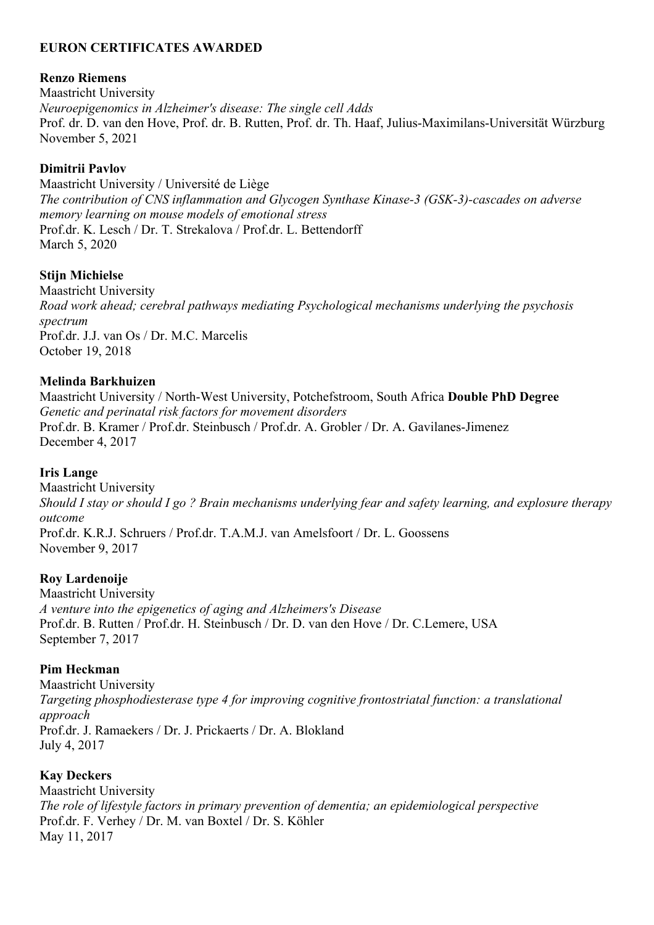### **EURON CERTIFICATES AWARDED**

#### **Renzo Riemens**

Maastricht University *Neuroepigenomics in Alzheimer's disease: The single cell Adds* Prof. dr. D. van den Hove, Prof. dr. B. Rutten, Prof. dr. Th. Haaf, Julius-Maximilans-Universität Würzburg November 5, 2021

### **Dimitrii Pavlov**

Maastricht University / Université de Liège *The contribution of CNS inflammation and Glycogen Synthase Kinase-3 (GSK-3)-cascades on adverse memory learning on mouse models of emotional stress* Prof.dr. K. Lesch / Dr. T. Strekalova / Prof.dr. L. Bettendorff March 5, 2020

### **Stijn Michielse**

Maastricht University *Road work ahead; cerebral pathways mediating Psychological mechanisms underlying the psychosis spectrum* Prof.dr. J.J. van Os / Dr. M.C. Marcelis October 19, 2018

### **Melinda Barkhuizen**

Maastricht University / North-West University, Potchefstroom, South Africa **Double PhD Degree** *Genetic and perinatal risk factors for movement disorders* Prof.dr. B. Kramer / Prof.dr. Steinbusch / Prof.dr. A. Grobler / Dr. A. Gavilanes-Jimenez December 4, 2017

#### **Iris Lange**

Maastricht University *Should I stay or should I go ? Brain mechanisms underlying fear and safety learning, and explosure therapy outcome* Prof.dr. K.R.J. Schruers / Prof.dr. T.A.M.J. van Amelsfoort / Dr. L. Goossens November 9, 2017

#### **Roy Lardenoije**

Maastricht University *A venture into the epigenetics of aging and Alzheimers's Disease* Prof.dr. B. Rutten / Prof.dr. H. Steinbusch / Dr. D. van den Hove / Dr. C.Lemere, USA September 7, 2017

#### **Pim Heckman**

Maastricht University *Targeting phosphodiesterase type 4 for improving cognitive frontostriatal function: a translational approach* Prof.dr. J. Ramaekers / Dr. J. Prickaerts / Dr. A. Blokland July 4, 2017

## **Kay Deckers**

Maastricht University *The role of lifestyle factors in primary prevention of dementia; an epidemiological perspective* Prof.dr. F. Verhey / Dr. M. van Boxtel / Dr. S. Köhler May 11, 2017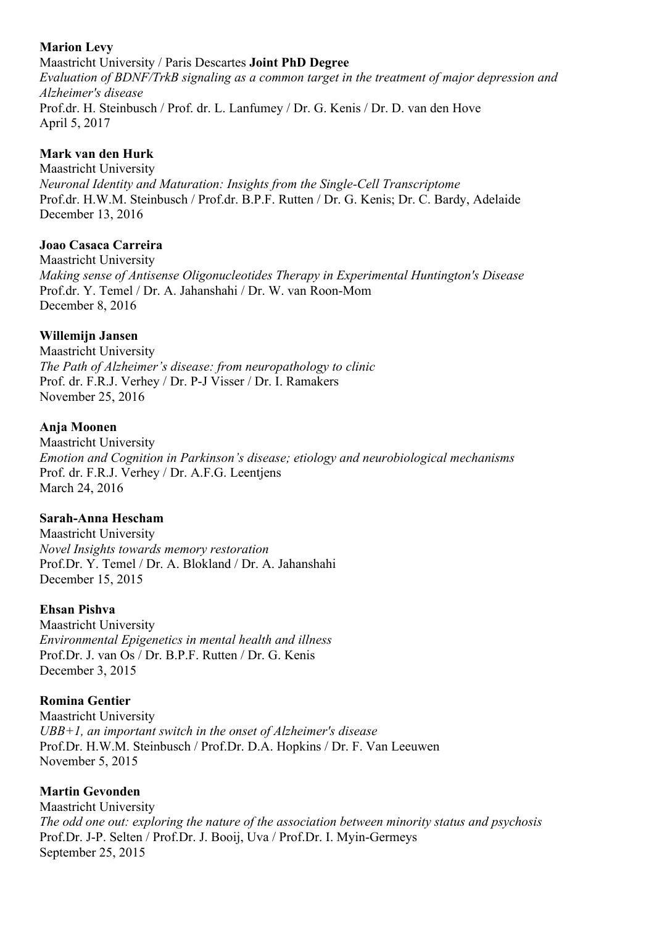### **Marion Levy**

Maastricht University / Paris Descartes **Joint PhD Degree** *Evaluation of BDNF/TrkB signaling as a common target in the treatment of major depression and Alzheimer's disease* Prof.dr. H. Steinbusch / Prof. dr. L. Lanfumey / Dr. G. Kenis / Dr. D. van den Hove April 5, 2017

# **Mark van den Hurk**

Maastricht University *Neuronal Identity and Maturation: Insights from the Single-Cell Transcriptome* Prof.dr. H.W.M. Steinbusch / Prof.dr. B.P.F. Rutten / Dr. G. Kenis; Dr. C. Bardy, Adelaide December 13, 2016

# **Joao Casaca Carreira**

Maastricht University *Making sense of Antisense Oligonucleotides Therapy in Experimental Huntington's Disease* Prof.dr. Y. Temel / Dr. A. Jahanshahi / Dr. W. van Roon-Mom December 8, 2016

# **Willemijn Jansen**

Maastricht University *The Path of Alzheimer's disease: from neuropathology to clinic* Prof. dr. F.R.J. Verhey / Dr. P-J Visser / Dr. I. Ramakers November 25, 2016

## **Anja Moonen**

Maastricht University *Emotion and Cognition in Parkinson's disease; etiology and neurobiological mechanisms* Prof. dr. F.R.J. Verhey / Dr. A.F.G. Leentjens March 24, 2016

## **Sarah-Anna Hescham**

Maastricht University *Novel Insights towards memory restoration* Prof.Dr. Y. Temel / Dr. A. Blokland / Dr. A. Jahanshahi December 15, 2015

## **Ehsan Pishva**

Maastricht University *Environmental Epigenetics in mental health and illness* Prof.Dr. J. van Os / Dr. B.P.F. Rutten / Dr. G. Kenis December 3, 2015

## **Romina Gentier**

Maastricht University *UBB+1, an important switch in the onset of Alzheimer's disease* Prof.Dr. H.W.M. Steinbusch / Prof.Dr. D.A. Hopkins / Dr. F. Van Leeuwen November 5, 2015

# **Martin Gevonden**

Maastricht University *The odd one out: exploring the nature of the association between minority status and psychosis* Prof.Dr. J-P. Selten / Prof.Dr. J. Booij, Uva / Prof.Dr. I. Myin-Germeys September 25, 2015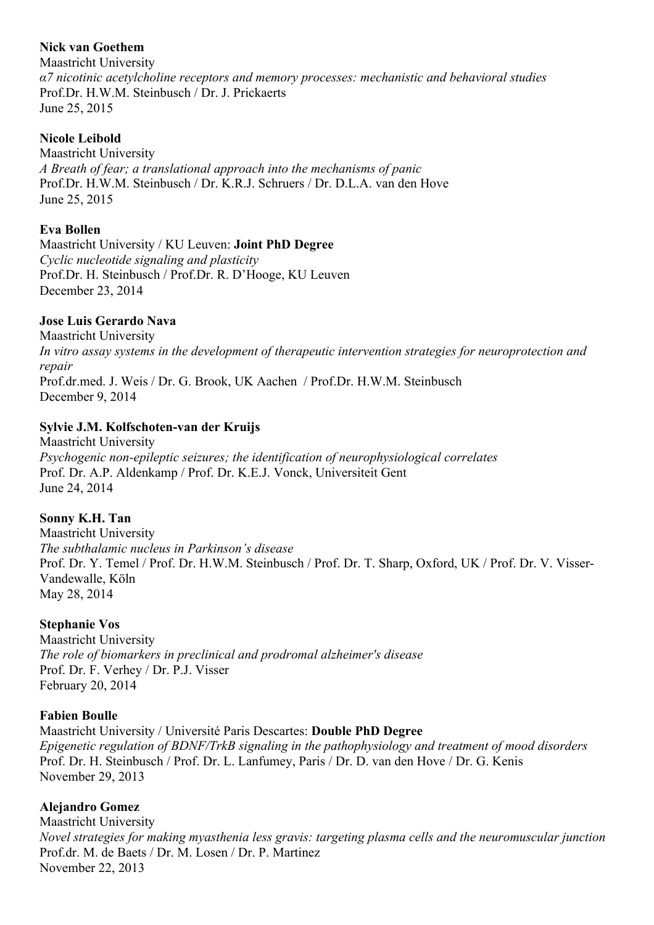## **Nick van Goethem**

Maastricht University *α7 nicotinic acetylcholine receptors and memory processes: mechanistic and behavioral studies* Prof.Dr. H.W.M. Steinbusch / Dr. J. Prickaerts June 25, 2015

# **Nicole Leibold**

Maastricht University *A Breath of fear; a translational approach into the mechanisms of panic* Prof.Dr. H.W.M. Steinbusch / Dr. K.R.J. Schruers / Dr. D.L.A. van den Hove June 25, 2015

# **Eva Bollen**

Maastricht University / KU Leuven: **Joint PhD Degree** *Cyclic nucleotide signaling and plasticity* Prof.Dr. H. Steinbusch / Prof.Dr. R. D'Hooge, KU Leuven December 23, 2014

## **Jose Luis Gerardo Nava**

Maastricht University *In vitro assay systems in the development of therapeutic intervention strategies for neuroprotection and repair* Prof.dr.med. J. Weis / Dr. G. Brook, UK Aachen / Prof.Dr. H.W.M. Steinbusch December 9, 2014

## **Sylvie J.M. Kolfschoten-van der Kruijs**

Maastricht University *Psychogenic non-epileptic seizures; the identification of neurophysiological correlates* Prof. Dr. A.P. Aldenkamp / Prof. Dr. K.E.J. Vonck, Universiteit Gent June 24, 2014

## **Sonny K.H. Tan**

Maastricht University *The subthalamic nucleus in Parkinson's disease* Prof. Dr. Y. Temel / Prof. Dr. H.W.M. Steinbusch / Prof. Dr. T. Sharp, Oxford, UK / Prof. Dr. V. Visser-Vandewalle, Köln May 28, 2014

## **Stephanie Vos**

Maastricht University *The role of biomarkers in preclinical and prodromal alzheimer's disease* Prof. Dr. F. Verhey / Dr. P.J. Visser February 20, 2014

## **Fabien Boulle**

Maastricht University / Université Paris Descartes: **Double PhD Degree** *Epigenetic regulation of BDNF/TrkB signaling in the pathophysiology and treatment of mood disorders* Prof. Dr. H. Steinbusch / Prof. Dr. L. Lanfumey, Paris / Dr. D. van den Hove / Dr. G. Kenis November 29, 2013

## **Alejandro Gomez**

Maastricht University *Novel strategies for making myasthenia less gravis: targeting plasma cells and the neuromuscular junction* Prof.dr. M. de Baets / Dr. M. Losen / Dr. P. Martinez November 22, 2013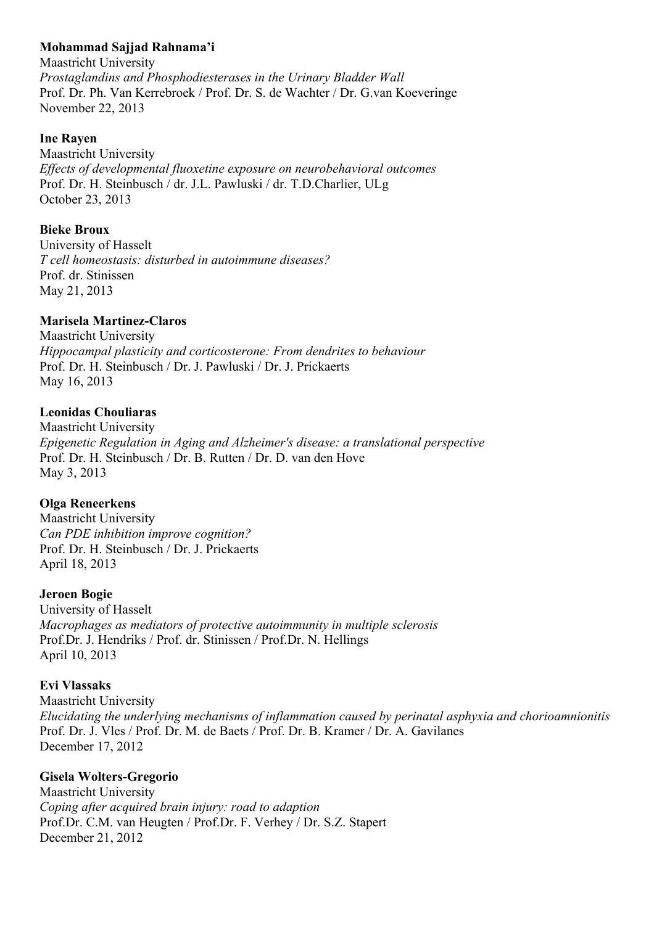### **Mohammad Sajjad Rahnama'i**

Maastricht University *Prostaglandins and Phosphodiesterases in the Urinary Bladder Wall* Prof. Dr. Ph. Van Kerrebroek / Prof. Dr. S. de Wachter / Dr. G.van Koeveringe November 22, 2013

#### **Ine Rayen**

Maastricht University *Effects of developmental fluoxetine exposure on neurobehavioral outcomes* Prof. Dr. H. Steinbusch / dr. J.L. Pawluski / dr. T.D.Charlier, ULg October 23, 2013

#### **Bieke Broux**

University of Hasselt *T cell homeostasis: disturbed in autoimmune diseases?* Prof. dr. Stinissen May 21, 2013

#### **Marisela Martinez-Claros**

Maastricht University *Hippocampal plasticity and corticosterone: From dendrites to behaviour* Prof. Dr. H. Steinbusch / Dr. J. Pawluski / Dr. J. Prickaerts May 16, 2013

### **Leonidas Chouliaras**

Maastricht University *Epigenetic Regulation in Aging and Alzheimer's disease: a translational perspective* Prof. Dr. H. Steinbusch / Dr. B. Rutten / Dr. D. van den Hove May 3, 2013

#### **Olga Reneerkens**

Maastricht University *Can PDE inhibition improve cognition?* Prof. Dr. H. Steinbusch / Dr. J. Prickaerts April 18, 2013

#### **Jeroen Bogie**

University of Hasselt *Macrophages as mediators of protective autoimmunity in multiple sclerosis* Prof.Dr. J. Hendriks / Prof. dr. Stinissen / Prof.Dr. N. Hellings April 10, 2013

#### **Evi Vlassaks**

Maastricht University *Elucidating the underlying mechanisms of inflammation caused by perinatal asphyxia and chorioamnionitis* Prof. Dr. J. Vles / Prof. Dr. M. de Baets / Prof. Dr. B. Kramer / Dr. A. Gavilanes December 17, 2012

#### **Gisela Wolters-Gregorio**

Maastricht University *Coping after acquired brain injury: road to adaption* Prof.Dr. C.M. van Heugten / Prof.Dr. F. Verhey / Dr. S.Z. Stapert December 21, 2012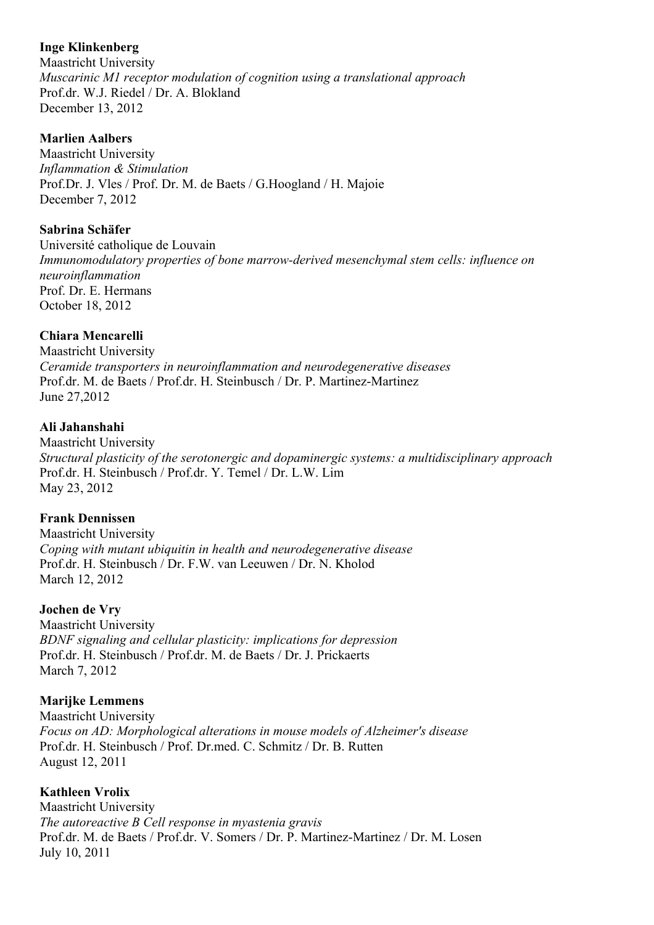### **Inge Klinkenberg**

Maastricht University *Muscarinic M1 receptor modulation of cognition using a translational approach* Prof.dr. W.J. Riedel / Dr. A. Blokland December 13, 2012

#### **Marlien Aalbers**

Maastricht University *Inflammation & Stimulation* Prof.Dr. J. Vles / Prof. Dr. M. de Baets / G.Hoogland / H. Majoie December 7, 2012

### **Sabrina Schäfer**

Université catholique de Louvain *Immunomodulatory properties of bone marrow-derived mesenchymal stem cells: influence on neuroinflammation* Prof. Dr. E. Hermans October 18, 2012

## **Chiara Mencarelli**

Maastricht University *Ceramide transporters in neuroinflammation and neurodegenerative diseases* Prof.dr. M. de Baets / Prof.dr. H. Steinbusch / Dr. P. Martinez-Martinez June 27,2012

#### **Ali Jahanshahi**

Maastricht University *Structural plasticity of the serotonergic and dopaminergic systems: a multidisciplinary approach* Prof.dr. H. Steinbusch / Prof.dr. Y. Temel / Dr. L.W. Lim May 23, 2012

#### **Frank Dennissen**

Maastricht University *Coping with mutant ubiquitin in health and neurodegenerative disease* Prof.dr. H. Steinbusch / Dr. F.W. van Leeuwen / Dr. N. Kholod March 12, 2012

## **Jochen de Vry**

Maastricht University *BDNF signaling and cellular plasticity: implications for depression* Prof.dr. H. Steinbusch / Prof.dr. M. de Baets / Dr. J. Prickaerts March 7, 2012

## **Marijke Lemmens**

Maastricht University *Focus on AD: Morphological alterations in mouse models of Alzheimer's disease* Prof.dr. H. Steinbusch / Prof. Dr.med. C. Schmitz / Dr. B. Rutten August 12, 2011

## **Kathleen Vrolix**

Maastricht University *The autoreactive B Cell response in myastenia gravis* Prof.dr. M. de Baets / Prof.dr. V. Somers / Dr. P. Martinez-Martinez / Dr. M. Losen July 10, 2011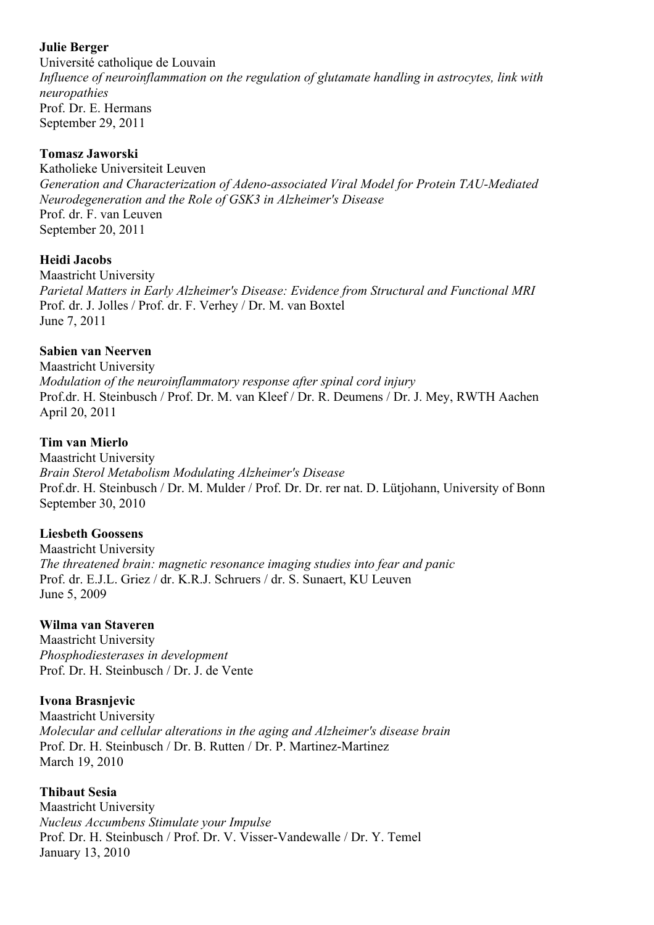#### **Julie Berger**

Université catholique de Louvain *Influence of neuroinflammation on the regulation of glutamate handling in astrocytes, link with neuropathies* Prof. Dr. E. Hermans September 29, 2011

#### **Tomasz Jaworski**

Katholieke Universiteit Leuven *Generation and Characterization of Adeno-associated Viral Model for Protein TAU-Mediated Neurodegeneration and the Role of GSK3 in Alzheimer's Disease* Prof. dr. F. van Leuven September 20, 2011

#### **Heidi Jacobs**

Maastricht University *Parietal Matters in Early Alzheimer's Disease: Evidence from Structural and Functional MRI* Prof. dr. J. Jolles / Prof. dr. F. Verhey / Dr. M. van Boxtel June 7, 2011

### **Sabien van Neerven**

Maastricht University *Modulation of the neuroinflammatory response after spinal cord injury* Prof.dr. H. Steinbusch / Prof. Dr. M. van Kleef / Dr. R. Deumens / Dr. J. Mey, RWTH Aachen April 20, 2011

### **Tim van Mierlo**

Maastricht University *Brain Sterol Metabolism Modulating Alzheimer's Disease* Prof.dr. H. Steinbusch / Dr. M. Mulder / Prof. Dr. Dr. rer nat. D. Lütjohann, University of Bonn September 30, 2010

## **Liesbeth Goossens**

Maastricht University *The threatened brain: magnetic resonance imaging studies into fear and panic* Prof. dr. E.J.L. Griez / dr. K.R.J. Schruers / dr. S. Sunaert, KU Leuven June 5, 2009

#### **Wilma van Staveren**

Maastricht University *Phosphodiesterases in development* Prof. Dr. H. Steinbusch / Dr. J. de Vente

## **Ivona Brasnjevic**

Maastricht University *Molecular and cellular alterations in the aging and Alzheimer's disease brain* Prof. Dr. H. Steinbusch / Dr. B. Rutten / Dr. P. Martinez-Martinez March 19, 2010

#### **Thibaut Sesia**

Maastricht University *Nucleus Accumbens Stimulate your Impulse* Prof. Dr. H. Steinbusch / Prof. Dr. V. Visser-Vandewalle / Dr. Y. Temel January 13, 2010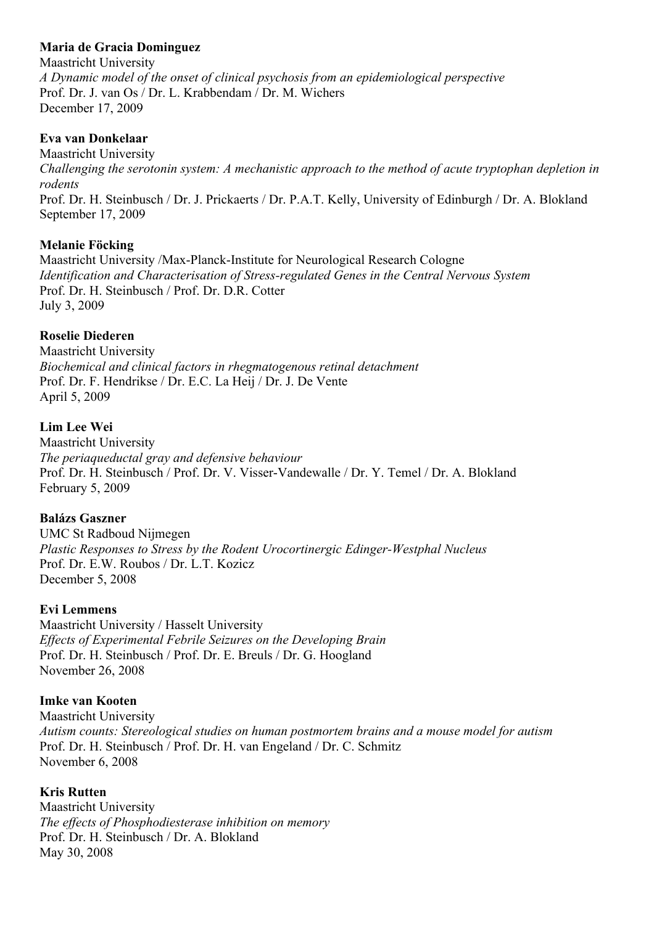## **Maria de Gracia Dominguez**

Maastricht University *A Dynamic model of the onset of clinical psychosis from an epidemiological perspective* Prof. Dr. J. van Os / Dr. L. Krabbendam / Dr. M. Wichers December 17, 2009

### **Eva van Donkelaar**

Maastricht University *Challenging the serotonin system: A mechanistic approach to the method of acute tryptophan depletion in rodents* Prof. Dr. H. Steinbusch / Dr. J. Prickaerts / Dr. P.A.T. Kelly, University of Edinburgh / Dr. A. Blokland September 17, 2009

## **Melanie Föcking**

Maastricht University /Max-Planck-Institute for Neurological Research Cologne *Identification and Characterisation of Stress-regulated Genes in the Central Nervous System* Prof. Dr. H. Steinbusch / Prof. Dr. D.R. Cotter July 3, 2009

## **Roselie Diederen**

Maastricht University *Biochemical and clinical factors in rhegmatogenous retinal detachment* Prof. Dr. F. Hendrikse / Dr. E.C. La Heij / Dr. J. De Vente April 5, 2009

### **Lim Lee Wei**

Maastricht University *The periaqueductal gray and defensive behaviour* Prof. Dr. H. Steinbusch / Prof. Dr. V. Visser-Vandewalle / Dr. Y. Temel / Dr. A. Blokland February 5, 2009

#### **Balázs Gaszner**

UMC St Radboud Nijmegen *Plastic Responses to Stress by the Rodent Urocortinergic Edinger-Westphal Nucleus* Prof. Dr. E.W. Roubos / Dr. L.T. Kozicz December 5, 2008

#### **Evi Lemmens**

Maastricht University / Hasselt University *Effects of Experimental Febrile Seizures on the Developing Brain* Prof. Dr. H. Steinbusch / Prof. Dr. E. Breuls / Dr. G. Hoogland November 26, 2008

#### **Imke van Kooten**

Maastricht University *Autism counts: Stereological studies on human postmortem brains and a mouse model for autism* Prof. Dr. H. Steinbusch / Prof. Dr. H. van Engeland / Dr. C. Schmitz November 6, 2008

#### **Kris Rutten**

Maastricht University *The effects of Phosphodiesterase inhibition on memory* Prof. Dr. H. Steinbusch / Dr. A. Blokland May 30, 2008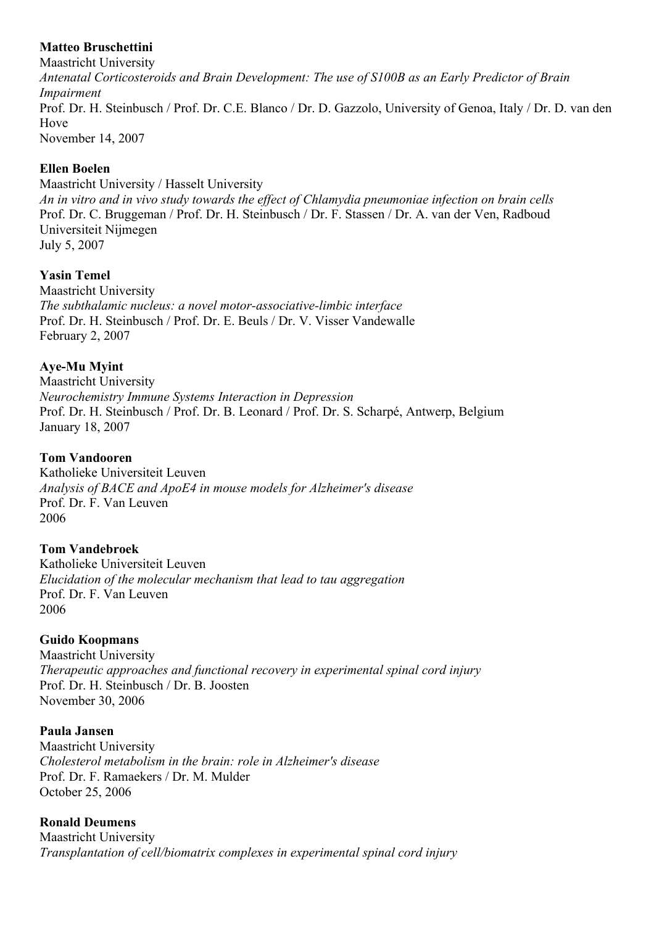## **Matteo Bruschettini**

Maastricht University *Antenatal Corticosteroids and Brain Development: The use of S100B as an Early Predictor of Brain Impairment* Prof. Dr. H. Steinbusch / Prof. Dr. C.E. Blanco / Dr. D. Gazzolo, University of Genoa, Italy / Dr. D. van den Hove November 14, 2007

## **Ellen Boelen**

Maastricht University / Hasselt University *An in vitro and in vivo study towards the effect of Chlamydia pneumoniae infection on brain cells* Prof. Dr. C. Bruggeman / Prof. Dr. H. Steinbusch / Dr. F. Stassen / Dr. A. van der Ven, Radboud Universiteit Nijmegen July 5, 2007

# **Yasin Temel**

Maastricht University *The subthalamic nucleus: a novel motor-associative-limbic interface* Prof. Dr. H. Steinbusch / Prof. Dr. E. Beuls / Dr. V. Visser Vandewalle February 2, 2007

**Aye-Mu Myint**

Maastricht University *Neurochemistry Immune Systems Interaction in Depression* Prof. Dr. H. Steinbusch / Prof. Dr. B. Leonard / Prof. Dr. S. Scharpé, Antwerp, Belgium January 18, 2007

# **Tom Vandooren**

Katholieke Universiteit Leuven *Analysis of BACE and ApoE4 in mouse models for Alzheimer's disease* Prof. Dr. F. Van Leuven 2006

## **Tom Vandebroek**

Katholieke Universiteit Leuven *Elucidation of the molecular mechanism that lead to tau aggregation* Prof. Dr. F. Van Leuven 2006

## **Guido Koopmans**

Maastricht University *Therapeutic approaches and functional recovery in experimental spinal cord injury* Prof. Dr. H. Steinbusch / Dr. B. Joosten November 30, 2006

## **Paula Jansen**

Maastricht University *Cholesterol metabolism in the brain: role in Alzheimer's disease* Prof. Dr. F. Ramaekers / Dr. M. Mulder October 25, 2006

## **Ronald Deumens**

Maastricht University *Transplantation of cell/biomatrix complexes in experimental spinal cord injury*